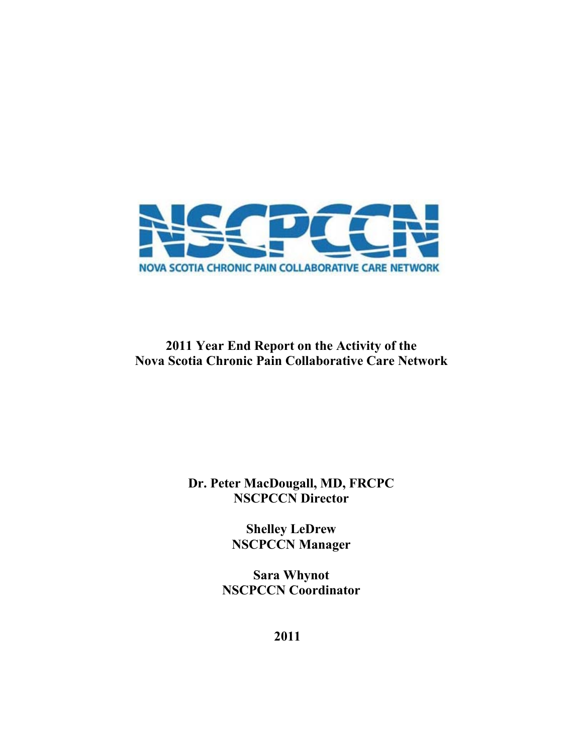

# **2011 Year End Report on the Activity of the Nova Scotia Chronic Pain Collaborative Care Network**

# **Dr. Peter MacDougall, MD, FRCPC NSCPCCN Director**

**Shelley LeDrew NSCPCCN Manager**

**Sara Whynot NSCPCCN Coordinator**

**2011**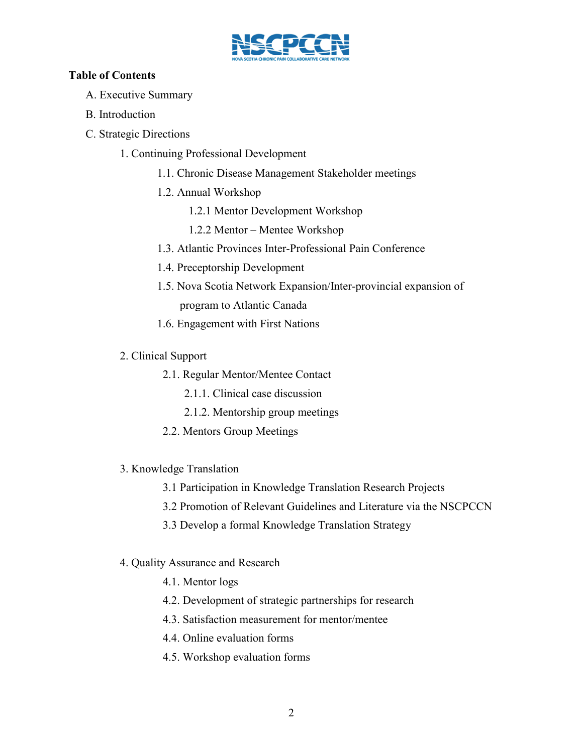

# **Table of Contents**

- A. Executive Summary
- B. Introduction
- C. Strategic Directions
	- 1. Continuing Professional Development
		- 1.1. Chronic Disease Management Stakeholder meetings
		- 1.2. Annual Workshop
			- 1.2.1 Mentor Development Workshop
			- 1.2.2 Mentor Mentee Workshop
		- 1.3. Atlantic Provinces Inter-Professional Pain Conference
		- 1.4. Preceptorship Development
		- 1.5. Nova Scotia Network Expansion/Inter-provincial expansion of program to Atlantic Canada
		- 1.6. Engagement with First Nations
	- 2. Clinical Support
		- 2.1. Regular Mentor/Mentee Contact
			- 2.1.1. Clinical case discussion
			- 2.1.2. Mentorship group meetings
		- 2.2. Mentors Group Meetings
	- 3. Knowledge Translation
		- 3.1 Participation in Knowledge Translation Research Projects
		- 3.2 Promotion of Relevant Guidelines and Literature via the NSCPCCN
		- 3.3 Develop a formal Knowledge Translation Strategy
	- 4. Quality Assurance and Research
		- 4.1. Mentor logs
		- 4.2. Development of strategic partnerships for research
		- 4.3. Satisfaction measurement for mentor/mentee
		- 4.4. Online evaluation forms
		- 4.5. Workshop evaluation forms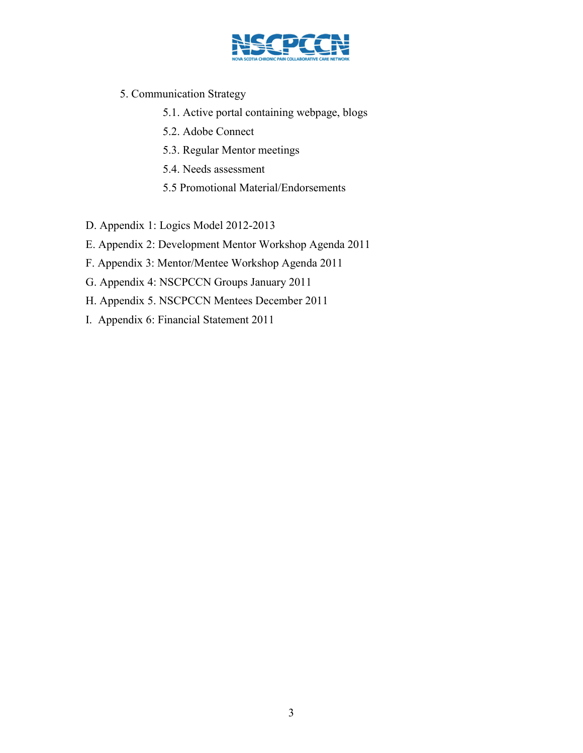

- 5. Communication Strategy
	- 5.1. Active portal containing webpage, blogs
	- 5.2. Adobe Connect
	- 5.3. Regular Mentor meetings
	- 5.4. Needs assessment
	- 5.5 Promotional Material/Endorsements

D. Appendix 1: Logics Model 2012-2013

- E. Appendix 2: Development Mentor Workshop Agenda 2011
- F. Appendix 3: Mentor/Mentee Workshop Agenda 2011
- G. Appendix 4: NSCPCCN Groups January 2011
- H. Appendix 5. NSCPCCN Mentees December 2011
- I. Appendix 6: Financial Statement 2011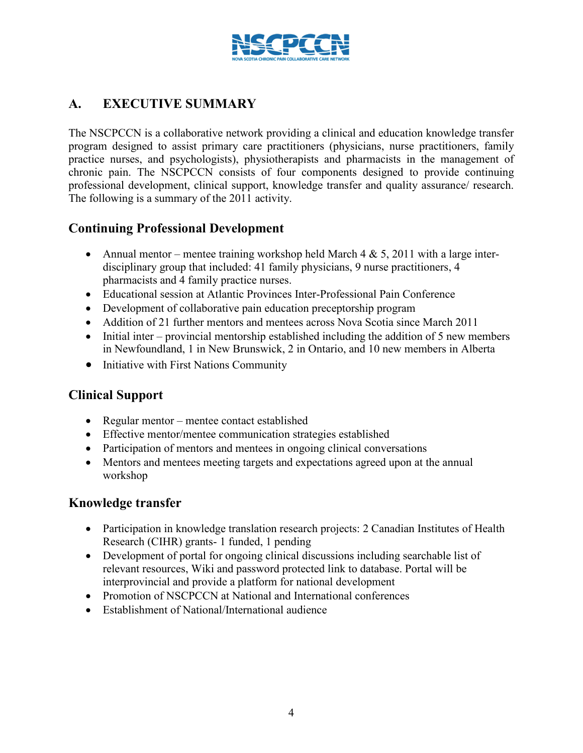

# **A. EXECUTIVE SUMMARY**

The NSCPCCN is a collaborative network providing a clinical and education knowledge transfer program designed to assist primary care practitioners (physicians, nurse practitioners, family practice nurses, and psychologists), physiotherapists and pharmacists in the management of chronic pain. The NSCPCCN consists of four components designed to provide continuing professional development, clinical support, knowledge transfer and quality assurance/ research. The following is a summary of the 2011 activity.

# **Continuing Professional Development**

- Annual mentor mentee training workshop held March 4  $\&$  5, 2011 with a large interdisciplinary group that included: 41 family physicians, 9 nurse practitioners, 4 pharmacists and 4 family practice nurses.
- x Educational session at Atlantic Provinces Inter-Professional Pain Conference
- Development of collaborative pain education preceptorship program
- Addition of 21 further mentors and mentees across Nova Scotia since March 2011
- Initial inter provincial mentorship established including the addition of 5 new members in Newfoundland, 1 in New Brunswick, 2 in Ontario, and 10 new members in Alberta
- Initiative with First Nations Community

# **Clinical Support**

- Regular mentor mentee contact established
- Effective mentor/mentee communication strategies established
- Participation of mentors and mentees in ongoing clinical conversations
- Mentors and mentees meeting targets and expectations agreed upon at the annual workshop

# **Knowledge transfer**

- Participation in knowledge translation research projects: 2 Canadian Institutes of Health Research (CIHR) grants- 1 funded, 1 pending
- Development of portal for ongoing clinical discussions including searchable list of relevant resources, Wiki and password protected link to database. Portal will be interprovincial and provide a platform for national development
- Promotion of NSCPCCN at National and International conferences
- Establishment of National/International audience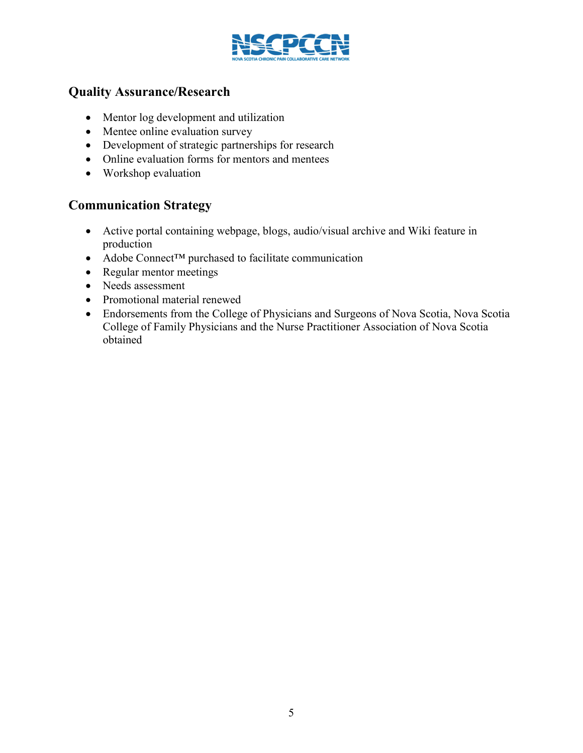

# **Quality Assurance/Research**

- Mentor log development and utilization
- Mentee online evaluation survey
- Development of strategic partnerships for research
- Online evaluation forms for mentors and mentees
- $\bullet$  Workshop evaluation

# **Communication Strategy**

- Active portal containing webpage, blogs, audio/visual archive and Wiki feature in production
- Adobe Connect™ purchased to facilitate communication
- Regular mentor meetings
- Needs assessment
- Promotional material renewed
- Endorsements from the College of Physicians and Surgeons of Nova Scotia, Nova Scotia College of Family Physicians and the Nurse Practitioner Association of Nova Scotia obtained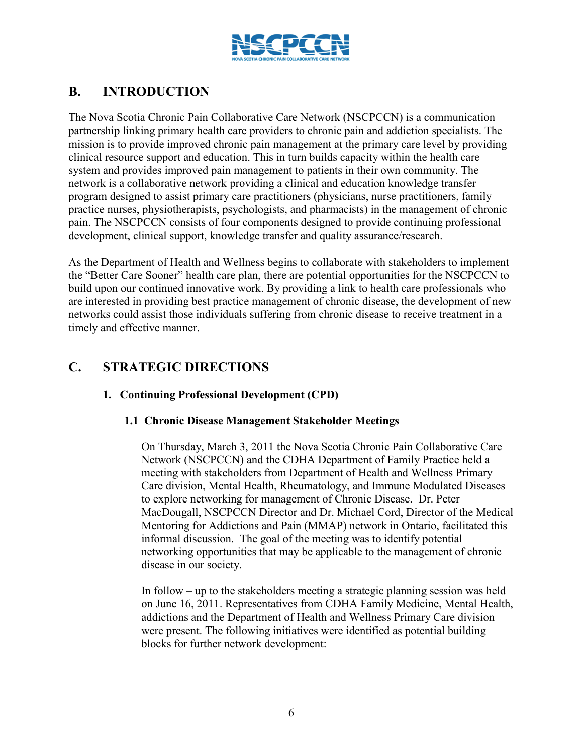

# **B. INTRODUCTION**

The Nova Scotia Chronic Pain Collaborative Care Network (NSCPCCN) is a communication partnership linking primary health care providers to chronic pain and addiction specialists. The mission is to provide improved chronic pain management at the primary care level by providing clinical resource support and education. This in turn builds capacity within the health care system and provides improved pain management to patients in their own community. The network is a collaborative network providing a clinical and education knowledge transfer program designed to assist primary care practitioners (physicians, nurse practitioners, family practice nurses, physiotherapists, psychologists, and pharmacists) in the management of chronic pain. The NSCPCCN consists of four components designed to provide continuing professional development, clinical support, knowledge transfer and quality assurance/research.

As the Department of Health and Wellness begins to collaborate with stakeholders to implement the "Better Care Sooner" health care plan, there are potential opportunities for the NSCPCCN to build upon our continued innovative work. By providing a link to health care professionals who are interested in providing best practice management of chronic disease, the development of new networks could assist those individuals suffering from chronic disease to receive treatment in a timely and effective manner.

# **C. STRATEGIC DIRECTIONS**

# **1. Continuing Professional Development (CPD)**

# **1.1 Chronic Disease Management Stakeholder Meetings**

On Thursday, March 3, 2011 the Nova Scotia Chronic Pain Collaborative Care Network (NSCPCCN) and the CDHA Department of Family Practice held a meeting with stakeholders from Department of Health and Wellness Primary Care division, Mental Health, Rheumatology, and Immune Modulated Diseases to explore networking for management of Chronic Disease. Dr. Peter MacDougall, NSCPCCN Director and Dr. Michael Cord, Director of the Medical Mentoring for Addictions and Pain (MMAP) network in Ontario, facilitated this informal discussion. The goal of the meeting was to identify potential networking opportunities that may be applicable to the management of chronic disease in our society.

In follow – up to the stakeholders meeting a strategic planning session was held on June 16, 2011. Representatives from CDHA Family Medicine, Mental Health, addictions and the Department of Health and Wellness Primary Care division were present. The following initiatives were identified as potential building blocks for further network development: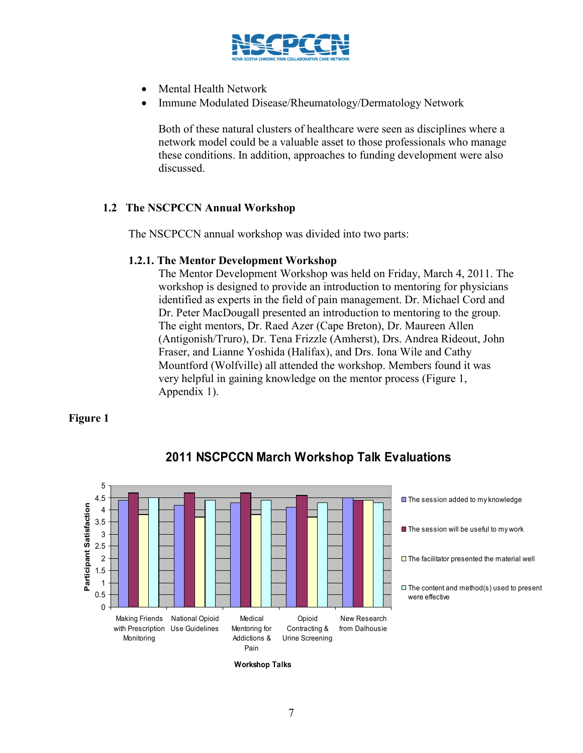

- x Mental Health Network
- Immune Modulated Disease/Rheumatology/Dermatology Network

Both of these natural clusters of healthcare were seen as disciplines where a network model could be a valuable asset to those professionals who manage these conditions. In addition, approaches to funding development were also discussed.

# **1.2 The NSCPCCN Annual Workshop**

The NSCPCCN annual workshop was divided into two parts:

#### **1.2.1. The Mentor Development Workshop**

The Mentor Development Workshop was held on Friday, March 4, 2011. The workshop is designed to provide an introduction to mentoring for physicians identified as experts in the field of pain management. Dr. Michael Cord and Dr. Peter MacDougall presented an introduction to mentoring to the group. The eight mentors, Dr. Raed Azer (Cape Breton), Dr. Maureen Allen (Antigonish/Truro), Dr. Tena Frizzle (Amherst), Drs. Andrea Rideout, John Fraser, and Lianne Yoshida (Halifax), and Drs. Iona Wile and Cathy Mountford (Wolfville) all attended the workshop. Members found it was very helpful in gaining knowledge on the mentor process (Figure 1, Appendix 1).

# **Figure 1**



# **2011 NSCPCCN March Workshop Talk Evaluations**

**Workshop Talks**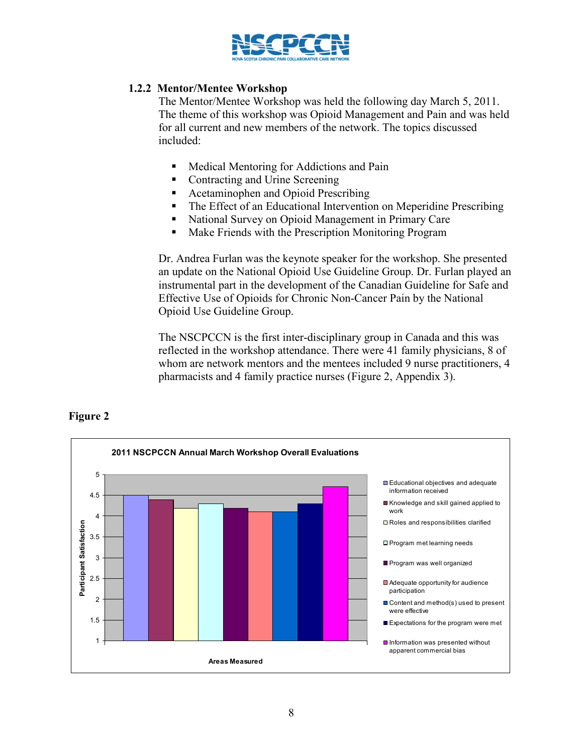

# **1.2.2 Mentor/Mentee Workshop**

The Mentor/Mentee Workshop was held the following day March 5, 2011. The theme of this workshop was Opioid Management and Pain and was held for all current and new members of the network. The topics discussed included:

- **Medical Mentoring for Addictions and Pain**
- Contracting and Urine Screening
- Acetaminophen and Opioid Prescribing
- The Effect of an Educational Intervention on Meperidine Prescribing
- National Survey on Opioid Management in Primary Care
- **Make Friends with the Prescription Monitoring Program**

Dr. Andrea Furlan was the keynote speaker for the workshop. She presented an update on the National Opioid Use Guideline Group. Dr. Furlan played an instrumental part in the development of the Canadian Guideline for Safe and Effective Use of Opioids for Chronic Non-Cancer Pain by the National Opioid Use Guideline Group.

The NSCPCCN is the first inter-disciplinary group in Canada and this was reflected in the workshop attendance. There were 41 family physicians, 8 of whom are network mentors and the mentees included 9 nurse practitioners, 4 pharmacists and 4 family practice nurses (Figure 2, Appendix 3).



# **Figure 2**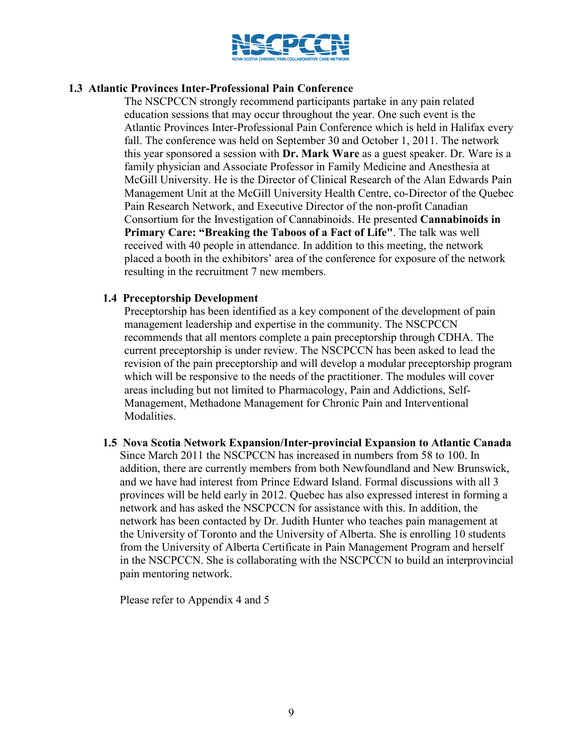

## **1.3 Atlantic Provinces Inter-Professional Pain Conference**

The NSCPCCN strongly recommend participants partake in any pain related education sessions that may occur throughout the year. One such event is the Atlantic Provinces Inter-Professional Pain Conference which is held in Halifax every fall. The conference was held on September 30 and October 1, 2011. The network this year sponsored a session with **Dr. Mark Ware** as a guest speaker. Dr. Ware is a family physician and Associate Professor in Family Medicine and Anesthesia at McGill University. He is the Director of Clinical Research of the Alan Edwards Pain Management Unit at the McGill University Health Centre, co-Director of the Quebec Pain Research Network, and Executive Director of the non-profit Canadian Consortium for the Investigation of Cannabinoids. He presented **Cannabinoids in Primary Care: "Breaking the Taboos of a Fact of Life"**. The talk was well received with 40 people in attendance. In addition to this meeting, the network placed a booth in the exhibitors' area of the conference for exposure of the network resulting in the recruitment 7 new members.

#### **1.4 Preceptorship Development**

Preceptorship has been identified as a key component of the development of pain management leadership and expertise in the community. The NSCPCCN recommends that all mentors complete a pain preceptorship through CDHA. The current preceptorship is under review. The NSCPCCN has been asked to lead the revision of the pain preceptorship and will develop a modular preceptorship program which will be responsive to the needs of the practitioner. The modules will cover areas including but not limited to Pharmacology, Pain and Addictions, Self-Management, Methadone Management for Chronic Pain and Interventional Modalities.

**1.5 Nova Scotia Network Expansion/Inter-provincial Expansion to Atlantic Canada**  Since March 2011 the NSCPCCN has increased in numbers from 58 to 100. In addition, there are currently members from both Newfoundland and New Brunswick, and we have had interest from Prince Edward Island. Formal discussions with all 3 provinces will be held early in 2012. Quebec has also expressed interest in forming a network and has asked the NSCPCCN for assistance with this. In addition, the network has been contacted by Dr. Judith Hunter who teaches pain management at the University of Toronto and the University of Alberta. She is enrolling 10 students from the University of Alberta Certificate in Pain Management Program and herself in the NSCPCCN. She is collaborating with the NSCPCCN to build an interprovincial pain mentoring network.

Please refer to Appendix 4 and 5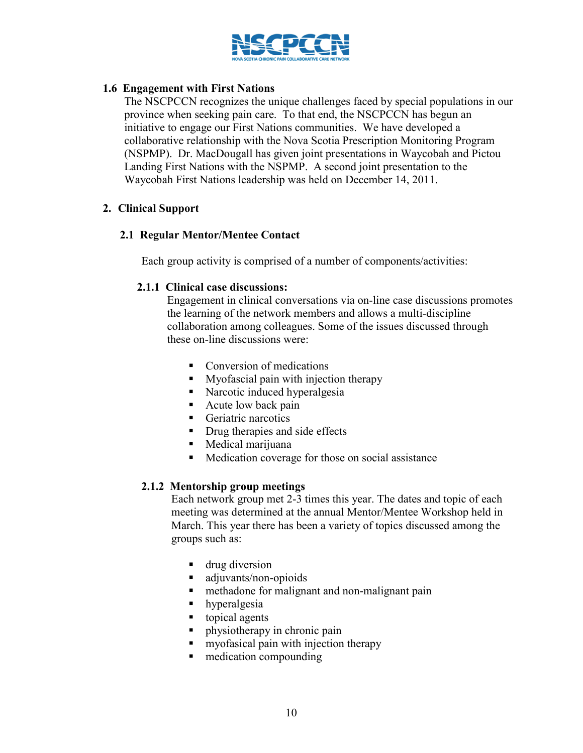

## **1.6 Engagement with First Nations**

The NSCPCCN recognizes the unique challenges faced by special populations in our province when seeking pain care. To that end, the NSCPCCN has begun an initiative to engage our First Nations communities. We have developed a collaborative relationship with the Nova Scotia Prescription Monitoring Program (NSPMP). Dr. MacDougall has given joint presentations in Waycobah and Pictou Landing First Nations with the NSPMP. A second joint presentation to the Waycobah First Nations leadership was held on December 14, 2011.

#### **2. Clinical Support**

#### **2.1 Regular Mentor/Mentee Contact**

Each group activity is comprised of a number of components/activities:

#### **2.1.1 Clinical case discussions:**

Engagement in clinical conversations via on-line case discussions promotes the learning of the network members and allows a multi-discipline collaboration among colleagues. Some of the issues discussed through these on-line discussions were:

- Conversion of medications
- **Myofascial pain with injection therapy**
- **Narcotic induced hyperalgesia**
- Acute low back pain
- Geriatric narcotics
- Drug therapies and side effects
- Medical marijuana
- **Medication coverage for those on social assistance**

# **2.1.2 Mentorship group meetings**

Each network group met 2-3 times this year. The dates and topic of each meeting was determined at the annual Mentor/Mentee Workshop held in March. This year there has been a variety of topics discussed among the groups such as:

- **drug diversion**
- adjuvants/non-opioids
- methadone for malignant and non-malignant pain
- hyperalgesia
- topical agents
- physiotherapy in chronic pain
- myofasical pain with injection therapy
- $\blacksquare$  medication compounding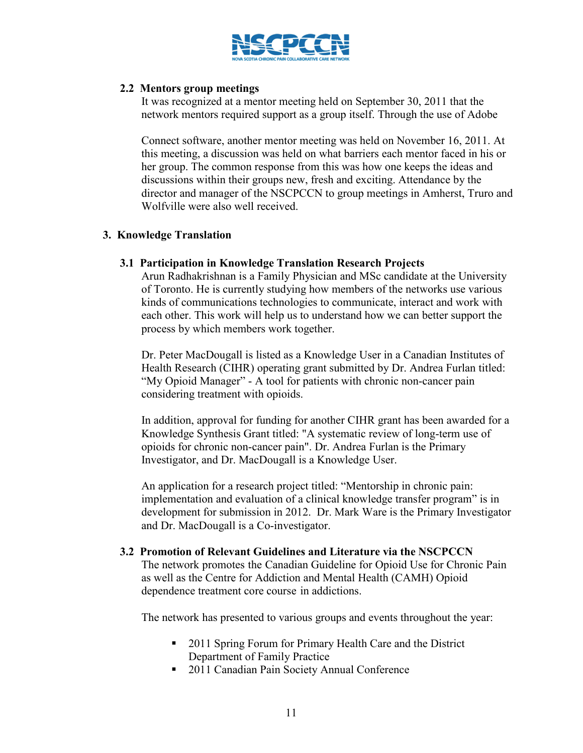

#### **2.2 Mentors group meetings**

It was recognized at a mentor meeting held on September 30, 2011 that the network mentors required support as a group itself. Through the use of Adobe

Connect software, another mentor meeting was held on November 16, 2011. At this meeting, a discussion was held on what barriers each mentor faced in his or her group. The common response from this was how one keeps the ideas and discussions within their groups new, fresh and exciting. Attendance by the director and manager of the NSCPCCN to group meetings in Amherst, Truro and Wolfville were also well received.

# **3. Knowledge Translation**

#### **3.1 Participation in Knowledge Translation Research Projects**

Arun Radhakrishnan is a Family Physician and MSc candidate at the University of Toronto. He is currently studying how members of the networks use various kinds of communications technologies to communicate, interact and work with each other. This work will help us to understand how we can better support the process by which members work together.

Dr. Peter MacDougall is listed as a Knowledge User in a Canadian Institutes of Health Research (CIHR) operating grant submitted by Dr. Andrea Furlan titled: "My Opioid Manager" - A tool for patients with chronic non-cancer pain considering treatment with opioids.

In addition, approval for funding for another CIHR grant has been awarded for a Knowledge Synthesis Grant titled: "A systematic review of long-term use of opioids for chronic non-cancer pain". Dr. Andrea Furlan is the Primary Investigator, and Dr. MacDougall is a Knowledge User.

An application for a research project titled: "Mentorship in chronic pain: implementation and evaluation of a clinical knowledge transfer program" is in development for submission in 2012. Dr. Mark Ware is the Primary Investigator and Dr. MacDougall is a Co-investigator.

#### **3.2 Promotion of Relevant Guidelines and Literature via the NSCPCCN**

The network promotes the Canadian Guideline for Opioid Use for Chronic Pain as well as the Centre for Addiction and Mental Health (CAMH) Opioid dependence treatment core course in addictions.

The network has presented to various groups and events throughout the year:

- 2011 Spring Forum for Primary Health Care and the District Department of Family Practice
- 2011 Canadian Pain Society Annual Conference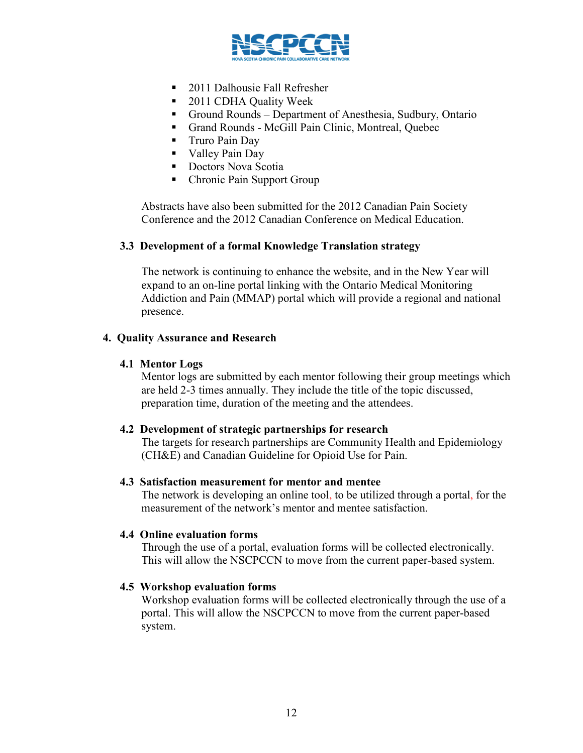

- 2011 Dalhousie Fall Refresher
- 2011 CDHA Quality Week
- Ground Rounds Department of Anesthesia, Sudbury, Ontario
- Grand Rounds McGill Pain Clinic, Montreal, Quebec
- **Truro Pain Day**
- **Valley Pain Day**
- **Doctors Nova Scotia**
- Chronic Pain Support Group

Abstracts have also been submitted for the 2012 Canadian Pain Society Conference and the 2012 Canadian Conference on Medical Education.

#### **3.3 Development of a formal Knowledge Translation strategy**

The network is continuing to enhance the website, and in the New Year will expand to an on-line portal linking with the Ontario Medical Monitoring Addiction and Pain (MMAP) portal which will provide a regional and national presence.

#### **4. Quality Assurance and Research**

#### **4.1 Mentor Logs**

Mentor logs are submitted by each mentor following their group meetings which are held 2-3 times annually. They include the title of the topic discussed, preparation time, duration of the meeting and the attendees.

#### **4.2 Development of strategic partnerships for research**

The targets for research partnerships are Community Health and Epidemiology (CH&E) and Canadian Guideline for Opioid Use for Pain.

#### **4.3 Satisfaction measurement for mentor and mentee**

The network is developing an online tool, to be utilized through a portal, for the measurement of the network's mentor and mentee satisfaction.

#### **4.4 Online evaluation forms**

Through the use of a portal, evaluation forms will be collected electronically. This will allow the NSCPCCN to move from the current paper-based system.

#### **4.5 Workshop evaluation forms**

Workshop evaluation forms will be collected electronically through the use of a portal. This will allow the NSCPCCN to move from the current paper-based system.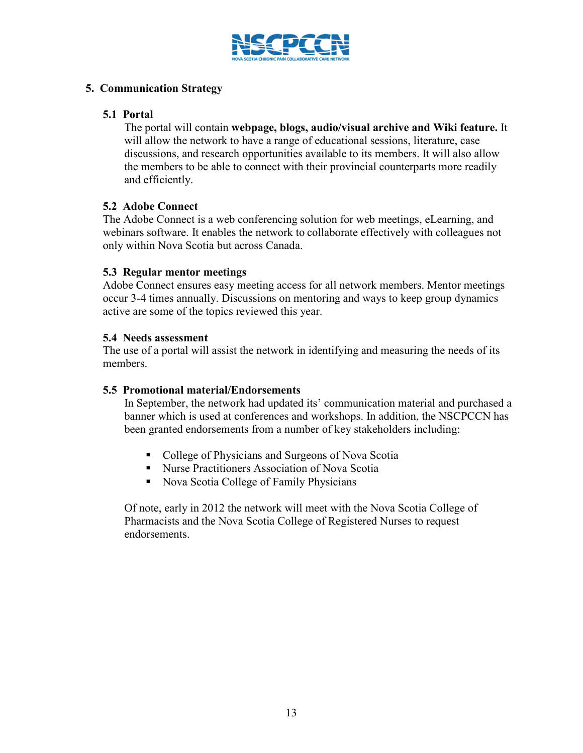

## **5. Communication Strategy**

#### **5.1 Portal**

The portal will contain **webpage, blogs, audio/visual archive and Wiki feature.** It will allow the network to have a range of educational sessions, literature, case discussions, and research opportunities available to its members. It will also allow the members to be able to connect with their provincial counterparts more readily and efficiently.

# **5.2 Adobe Connect**

The Adobe Connect is a web conferencing solution for web meetings, eLearning, and webinars software. It enables the network to collaborate effectively with colleagues not only within Nova Scotia but across Canada.

#### **5.3 Regular mentor meetings**

Adobe Connect ensures easy meeting access for all network members. Mentor meetings occur 3-4 times annually. Discussions on mentoring and ways to keep group dynamics active are some of the topics reviewed this year.

#### **5.4 Needs assessment**

The use of a portal will assist the network in identifying and measuring the needs of its members.

# **5.5 Promotional material/Endorsements**

In September, the network had updated its' communication material and purchased a banner which is used at conferences and workshops. In addition, the NSCPCCN has been granted endorsements from a number of key stakeholders including:

- College of Physicians and Surgeons of Nova Scotia
- Nurse Practitioners Association of Nova Scotia
- Nova Scotia College of Family Physicians

Of note, early in 2012 the network will meet with the Nova Scotia College of Pharmacists and the Nova Scotia College of Registered Nurses to request endorsements.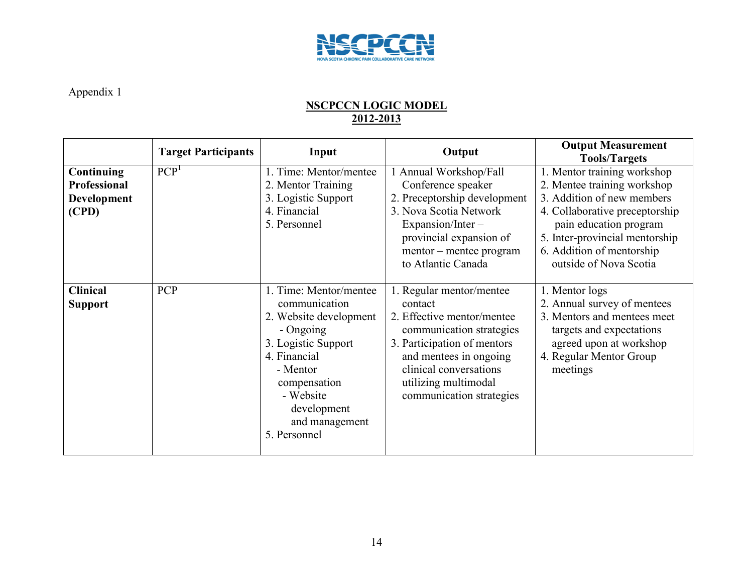

# **NSCPCCN LOGIC MODEL 2012-2013**

|                                                                  | <b>Target Participants</b> | Input                                                                                                                                                                                                           | Output                                                                                                                                                                                                                               | <b>Output Measurement</b><br><b>Tools/Targets</b>                                                                                                                                                                                             |
|------------------------------------------------------------------|----------------------------|-----------------------------------------------------------------------------------------------------------------------------------------------------------------------------------------------------------------|--------------------------------------------------------------------------------------------------------------------------------------------------------------------------------------------------------------------------------------|-----------------------------------------------------------------------------------------------------------------------------------------------------------------------------------------------------------------------------------------------|
| Continuing<br><b>Professional</b><br><b>Development</b><br>(CPD) | PCP <sup>1</sup>           | 1. Time: Mentor/mentee<br>2. Mentor Training<br>3. Logistic Support<br>4. Financial<br>5. Personnel                                                                                                             | 1 Annual Workshop/Fall<br>Conference speaker<br>2. Preceptorship development<br>3. Nova Scotia Network<br>Expansion/Inter-<br>provincial expansion of<br>mentor – mentee program<br>to Atlantic Canada                               | 1. Mentor training workshop<br>2. Mentee training workshop<br>3. Addition of new members<br>4. Collaborative preceptorship<br>pain education program<br>5. Inter-provincial mentorship<br>6. Addition of mentorship<br>outside of Nova Scotia |
| <b>Clinical</b><br><b>Support</b>                                | <b>PCP</b>                 | 1. Time: Mentor/mentee<br>communication<br>2. Website development<br>- Ongoing<br>3. Logistic Support<br>4. Financial<br>- Mentor<br>compensation<br>- Website<br>development<br>and management<br>5. Personnel | 1. Regular mentor/mentee<br>contact<br>2. Effective mentor/mentee<br>communication strategies<br>3. Participation of mentors<br>and mentees in ongoing<br>clinical conversations<br>utilizing multimodal<br>communication strategies | 1. Mentor logs<br>2. Annual survey of mentees<br>3. Mentors and mentees meet<br>targets and expectations<br>agreed upon at workshop<br>4. Regular Mentor Group<br>meetings                                                                    |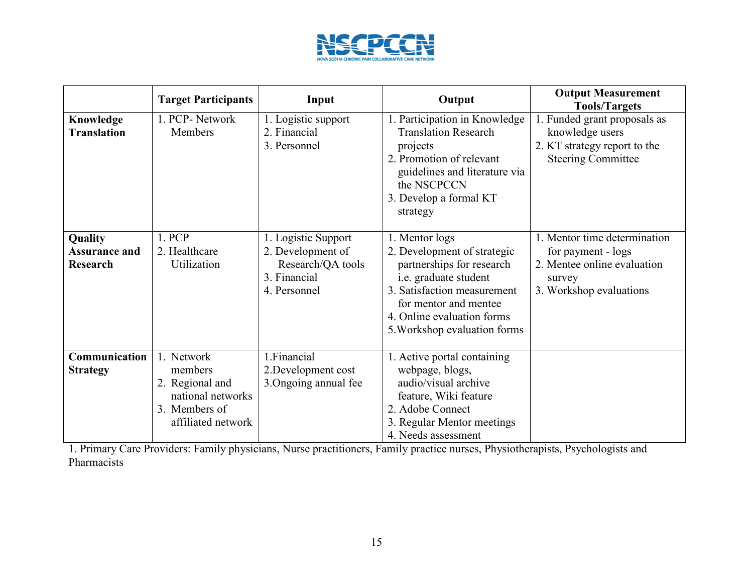

|                                                    | <b>Target Participants</b>                                                                           | Input                                                                                         | Output                                                                                                                                                                                                                    | <b>Output Measurement</b><br><b>Tools/Targets</b>                                                                      |
|----------------------------------------------------|------------------------------------------------------------------------------------------------------|-----------------------------------------------------------------------------------------------|---------------------------------------------------------------------------------------------------------------------------------------------------------------------------------------------------------------------------|------------------------------------------------------------------------------------------------------------------------|
| Knowledge<br><b>Translation</b>                    | 1. PCP-Network<br>Members                                                                            | 1. Logistic support<br>2. Financial<br>3. Personnel                                           | 1. Participation in Knowledge<br><b>Translation Research</b><br>projects<br>2. Promotion of relevant<br>guidelines and literature via<br>the NSCPCCN<br>3. Develop a formal KT<br>strategy                                | 1. Funded grant proposals as<br>knowledge users<br>2. KT strategy report to the<br><b>Steering Committee</b>           |
| Quality<br><b>Assurance and</b><br><b>Research</b> | 1. PCP<br>2. Healthcare<br>Utilization                                                               | 1. Logistic Support<br>2. Development of<br>Research/QA tools<br>3. Financial<br>4. Personnel | 1. Mentor logs<br>2. Development of strategic<br>partnerships for research<br>i.e. graduate student<br>3. Satisfaction measurement<br>for mentor and mentee<br>4. Online evaluation forms<br>5. Workshop evaluation forms | 1. Mentor time determination<br>for payment - logs<br>2. Mentee online evaluation<br>survey<br>3. Workshop evaluations |
| Communication<br><b>Strategy</b>                   | 1. Network<br>members<br>2. Regional and<br>national networks<br>3. Members of<br>affiliated network | 1. Financial<br>2. Development cost<br>3. Ongoing annual fee                                  | 1. Active portal containing<br>webpage, blogs,<br>audio/visual archive<br>feature, Wiki feature<br>2. Adobe Connect<br>3. Regular Mentor meetings<br>4. Needs assessment                                                  |                                                                                                                        |

1. Primary Care Providers: Family physicians, Nurse practitioners, Family practice nurses, Physiotherapists, Psychologists and Pharmacists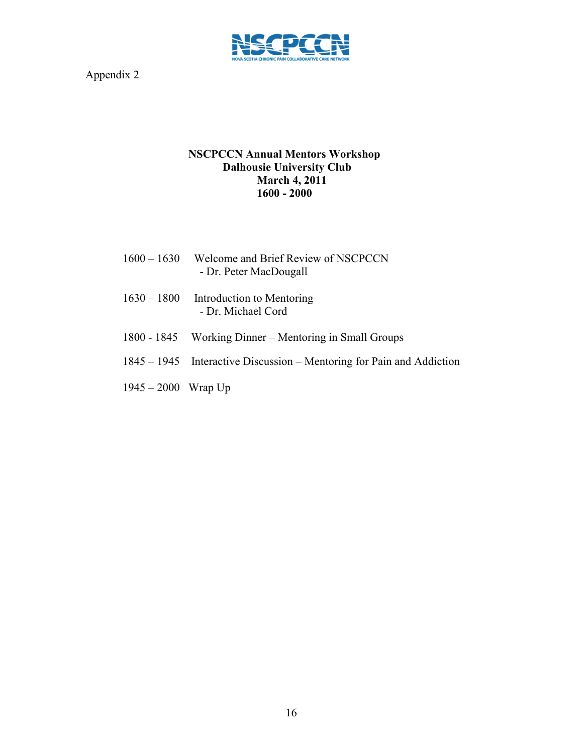

# **NSCPCCN Annual Mentors Workshop Dalhousie University Club March 4, 2011 1600 - 2000**

- 1600 1630 Welcome and Brief Review of NSCPCCN - Dr. Peter MacDougall
- 1630 1800 Introduction to Mentoring - Dr. Michael Cord
- 1800 1845 Working Dinner Mentoring in Small Groups
- 1845 1945 Interactive Discussion Mentoring for Pain and Addiction
- 1945 2000 Wrap Up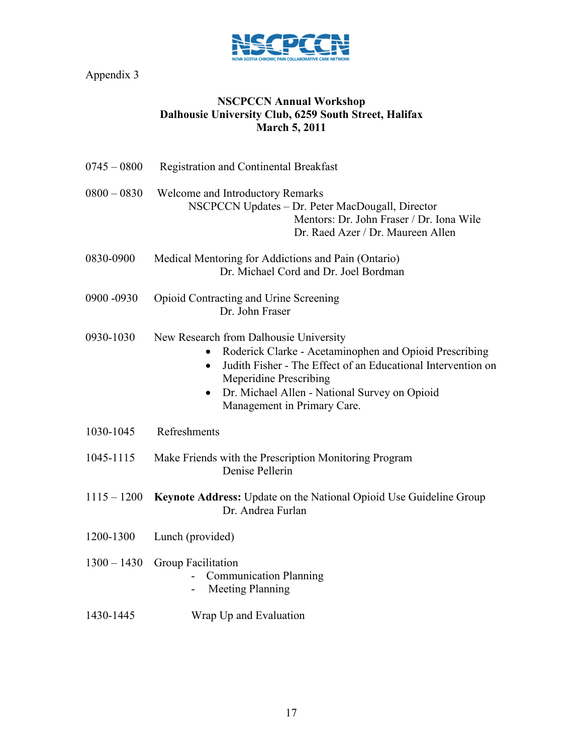

# **NSCPCCN Annual Workshop Dalhousie University Club, 6259 South Street, Halifax March 5, 2011**

| $0745 - 0800$ | Registration and Continental Breakfast                                                                                                                                                                                                                                                                      |  |  |  |
|---------------|-------------------------------------------------------------------------------------------------------------------------------------------------------------------------------------------------------------------------------------------------------------------------------------------------------------|--|--|--|
| $0800 - 0830$ | Welcome and Introductory Remarks<br>NSCPCCN Updates - Dr. Peter MacDougall, Director<br>Mentors: Dr. John Fraser / Dr. Iona Wile<br>Dr. Raed Azer / Dr. Maureen Allen                                                                                                                                       |  |  |  |
| 0830-0900     | Medical Mentoring for Addictions and Pain (Ontario)<br>Dr. Michael Cord and Dr. Joel Bordman                                                                                                                                                                                                                |  |  |  |
| 0900 -0930    | Opioid Contracting and Urine Screening<br>Dr. John Fraser                                                                                                                                                                                                                                                   |  |  |  |
| 0930-1030     | New Research from Dalhousie University<br>Roderick Clarke - Acetaminophen and Opioid Prescribing<br>Judith Fisher - The Effect of an Educational Intervention on<br>$\bullet$<br><b>Meperidine Prescribing</b><br>Dr. Michael Allen - National Survey on Opioid<br>$\bullet$<br>Management in Primary Care. |  |  |  |
| 1030-1045     | Refreshments                                                                                                                                                                                                                                                                                                |  |  |  |
| 1045-1115     | Make Friends with the Prescription Monitoring Program<br>Denise Pellerin                                                                                                                                                                                                                                    |  |  |  |
| $1115 - 1200$ | Keynote Address: Update on the National Opioid Use Guideline Group<br>Dr. Andrea Furlan                                                                                                                                                                                                                     |  |  |  |
| 1200-1300     | Lunch (provided)                                                                                                                                                                                                                                                                                            |  |  |  |
| $1300 - 1430$ | Group Facilitation<br><b>Communication Planning</b><br><b>Meeting Planning</b>                                                                                                                                                                                                                              |  |  |  |
| 1430-1445     | Wrap Up and Evaluation                                                                                                                                                                                                                                                                                      |  |  |  |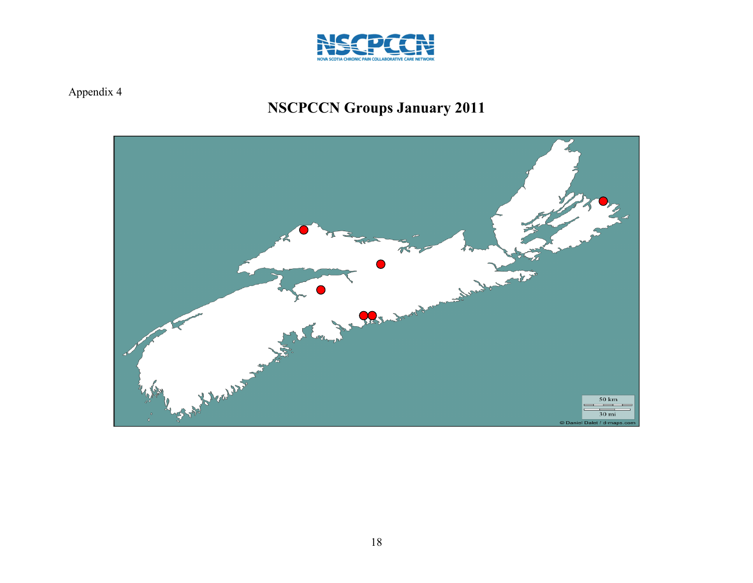

# **NSCPCCN Groups January 2011**